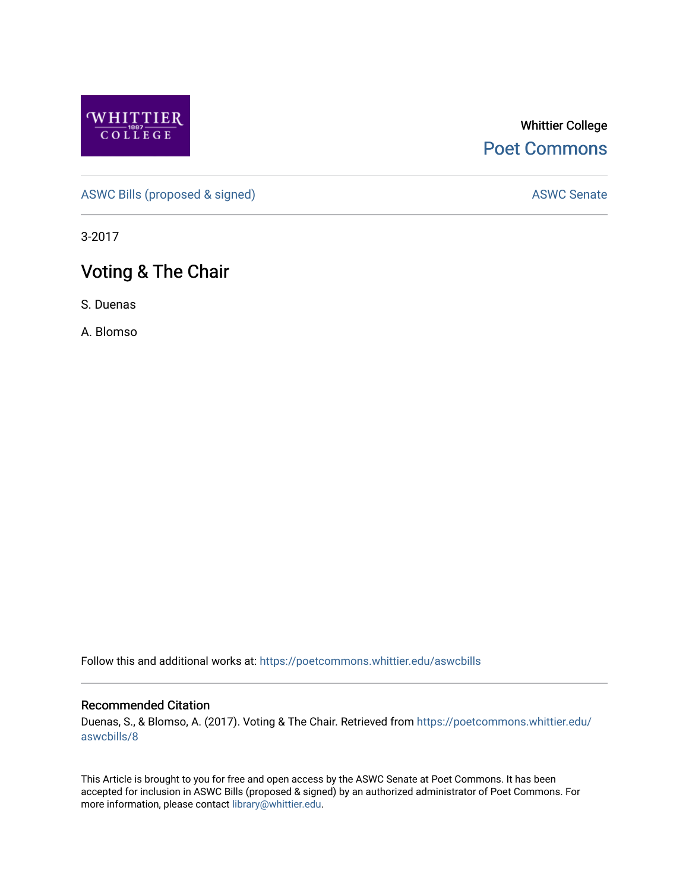

## Whittier College [Poet Commons](https://poetcommons.whittier.edu/)

[ASWC Bills \(proposed & signed\)](https://poetcommons.whittier.edu/aswcbills) ASWC Senate

3-2017

## Voting & The Chair

S. Duenas

A. Blomso

Follow this and additional works at: [https://poetcommons.whittier.edu/aswcbills](https://poetcommons.whittier.edu/aswcbills?utm_source=poetcommons.whittier.edu%2Faswcbills%2F8&utm_medium=PDF&utm_campaign=PDFCoverPages) 

## Recommended Citation

Duenas, S., & Blomso, A. (2017). Voting & The Chair. Retrieved from [https://poetcommons.whittier.edu/](https://poetcommons.whittier.edu/aswcbills/8?utm_source=poetcommons.whittier.edu%2Faswcbills%2F8&utm_medium=PDF&utm_campaign=PDFCoverPages) [aswcbills/8](https://poetcommons.whittier.edu/aswcbills/8?utm_source=poetcommons.whittier.edu%2Faswcbills%2F8&utm_medium=PDF&utm_campaign=PDFCoverPages)

This Article is brought to you for free and open access by the ASWC Senate at Poet Commons. It has been accepted for inclusion in ASWC Bills (proposed & signed) by an authorized administrator of Poet Commons. For more information, please contact [library@whittier.edu.](mailto:library@whittier.edu)